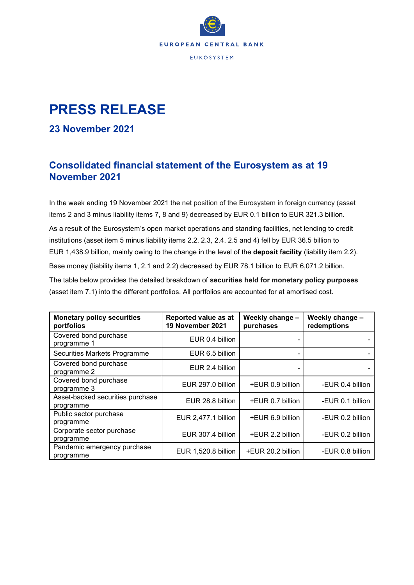

# **PRESS RELEASE**

#### **23 November 2021**

## **Consolidated financial statement of the Eurosystem as at 19 November 2021**

In the week ending 19 November 2021 the net position of the Eurosystem in foreign currency (asset items 2 and 3 minus liability items 7, 8 and 9) decreased by EUR 0.1 billion to EUR 321.3 billion. As a result of the Eurosystem's open market operations and standing facilities, net lending to credit institutions (asset item 5 minus liability items 2.2, 2.3, 2.4, 2.5 and 4) fell by EUR 36.5 billion to EUR 1,438.9 billion, mainly owing to the change in the level of the **deposit facility** (liability item 2.2). Base money (liability items 1, 2.1 and 2.2) decreased by EUR 78.1 billion to EUR 6,071.2 billion. The table below provides the detailed breakdown of **securities held for monetary policy purposes** (asset item 7.1) into the different portfolios. All portfolios are accounted for at amortised cost.

| <b>Monetary policy securities</b><br>portfolios | Reported value as at<br>19 November 2021 | Weekly change -<br>purchases | Weekly change -<br>redemptions |
|-------------------------------------------------|------------------------------------------|------------------------------|--------------------------------|
| Covered bond purchase<br>programme 1            | EUR 0.4 billion                          |                              |                                |
| Securities Markets Programme                    | EUR 6.5 billion                          |                              |                                |
| Covered bond purchase<br>programme 2            | EUR 2.4 billion                          |                              |                                |
| Covered bond purchase<br>programme 3            | EUR 297.0 billion                        | +EUR 0.9 billion             | -EUR 0.4 billion               |
| Asset-backed securities purchase<br>programme   | EUR 28.8 billion                         | +EUR 0.7 billion             | -EUR 0.1 billion               |
| Public sector purchase<br>programme             | EUR 2,477.1 billion                      | +EUR 6.9 billion             | -EUR 0.2 billion               |
| Corporate sector purchase<br>programme          | EUR 307.4 billion                        | +EUR 2.2 billion             | -EUR 0.2 billion               |
| Pandemic emergency purchase<br>programme        | EUR 1,520.8 billion                      | +EUR 20.2 billion            | -EUR 0.8 billion               |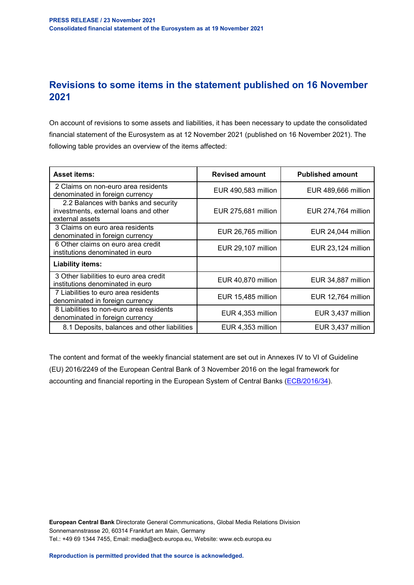## **Revisions to some items in the statement published on 16 November 2021**

On account of revisions to some assets and liabilities, it has been necessary to update the consolidated financial statement of the Eurosystem as at 12 November 2021 (published on 16 November 2021). The following table provides an overview of the items affected:

| <b>Asset items:</b>                                                                              | <b>Revised amount</b> | <b>Published amount</b> |  |
|--------------------------------------------------------------------------------------------------|-----------------------|-------------------------|--|
| 2 Claims on non-euro area residents<br>denominated in foreign currency                           | EUR 490,583 million   | EUR 489,666 million     |  |
| 2.2 Balances with banks and security<br>investments, external loans and other<br>external assets | EUR 275,681 million   | EUR 274,764 million     |  |
| 3 Claims on euro area residents<br>denominated in foreign currency                               | EUR 26,765 million    | EUR 24,044 million      |  |
| 6 Other claims on euro area credit<br>institutions denominated in euro                           | EUR 29,107 million    | EUR 23,124 million      |  |
| <b>Liability items:</b>                                                                          |                       |                         |  |
| 3 Other liabilities to euro area credit<br>institutions denominated in euro                      | EUR 40,870 million    | EUR 34,887 million      |  |
| 7 Liabilities to euro area residents<br>denominated in foreign currency                          | EUR 15,485 million    | EUR 12,764 million      |  |
| 8 Liabilities to non-euro area residents<br>denominated in foreign currency                      | EUR 4,353 million     | EUR 3,437 million       |  |
| 8.1 Deposits, balances and other liabilities                                                     | EUR 4,353 million     | EUR 3,437 million       |  |

The content and format of the weekly financial statement are set out in Annexes IV to VI of Guideline (EU) 2016/2249 of the European Central Bank of 3 November 2016 on the legal framework for accounting and financial reporting in the European System of Central Banks [\(ECB/2016/34\)](https://eur-lex.europa.eu/legal-content/EN/TXT/?qid=1599130224518&uri=CELEX:32016O0034).

**European Central Bank** Directorate General Communications, Global Media Relations Division Sonnemannstrasse 20, 60314 Frankfurt am Main, Germany Tel.: +49 69 1344 7455, Email: media@ecb.europa.eu, Website: www.ecb.europa.eu